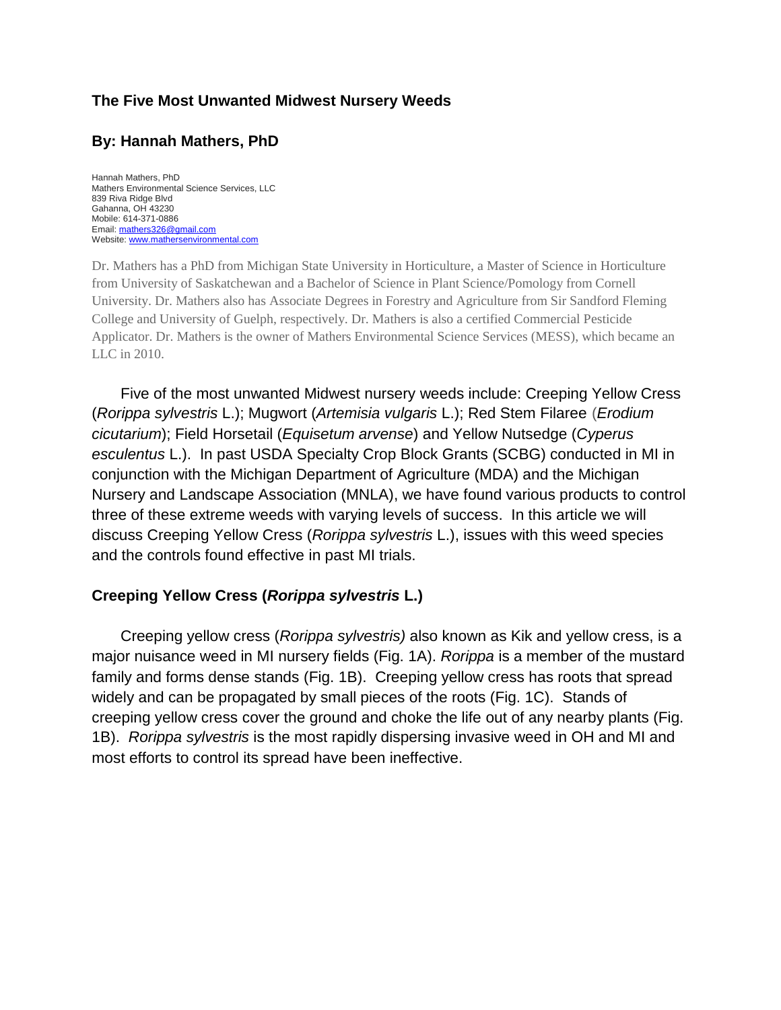### **The Five Most Unwanted Midwest Nursery Weeds**

# **By: Hannah Mathers, PhD**

Hannah Mathers, PhD Mathers Environmental Science Services, LLC 839 Riva Ridge Blvd Gahanna, OH 43230 Mobile: 614-371-0886 Email[: mathers326@gmail.com](mailto:mathers326@gmail.com) Website[: www.mathersenvironmental.com](http://www.mathersenvironmental.com/)

Dr. Mathers has a PhD from Michigan State University in Horticulture, a Master of Science in Horticulture from University of Saskatchewan and a Bachelor of Science in Plant Science/Pomology from Cornell University. Dr. Mathers also has Associate Degrees in Forestry and Agriculture from Sir Sandford Fleming College and University of Guelph, respectively. Dr. Mathers is also a certified Commercial Pesticide Applicator. Dr. Mathers is the owner of Mathers Environmental Science Services (MESS), which became an LLC in 2010.

Five of the most unwanted Midwest nursery weeds include: Creeping Yellow Cress (*Rorippa sylvestris* L.); Mugwort (*Artemisia vulgaris* L.); Red Stem Filaree (*Erodium cicutarium*); Field Horsetail (*Equisetum arvense*) and Yellow Nutsedge (*Cyperus esculentus* L.). In past USDA Specialty Crop Block Grants (SCBG) conducted in MI in conjunction with the Michigan Department of Agriculture (MDA) and the Michigan Nursery and Landscape Association (MNLA), we have found various products to control three of these extreme weeds with varying levels of success. In this article we will discuss Creeping Yellow Cress (*Rorippa sylvestris* L.), issues with this weed species and the controls found effective in past MI trials.

#### **Creeping Yellow Cress (***Rorippa sylvestris* **L.)**

Creeping yellow cress (*Rorippa sylvestris)* also known as Kik and yellow cress, is a major nuisance weed in MI nursery fields (Fig. 1A). *Rorippa* is a member of the mustard family and forms dense stands (Fig. 1B). Creeping yellow cress has roots that spread widely and can be propagated by small pieces of the roots (Fig. 1C). Stands of creeping yellow cress cover the ground and choke the life out of any nearby plants (Fig. 1B). *Rorippa sylvestris* is the most rapidly dispersing invasive weed in OH and MI and most efforts to control its spread have been ineffective.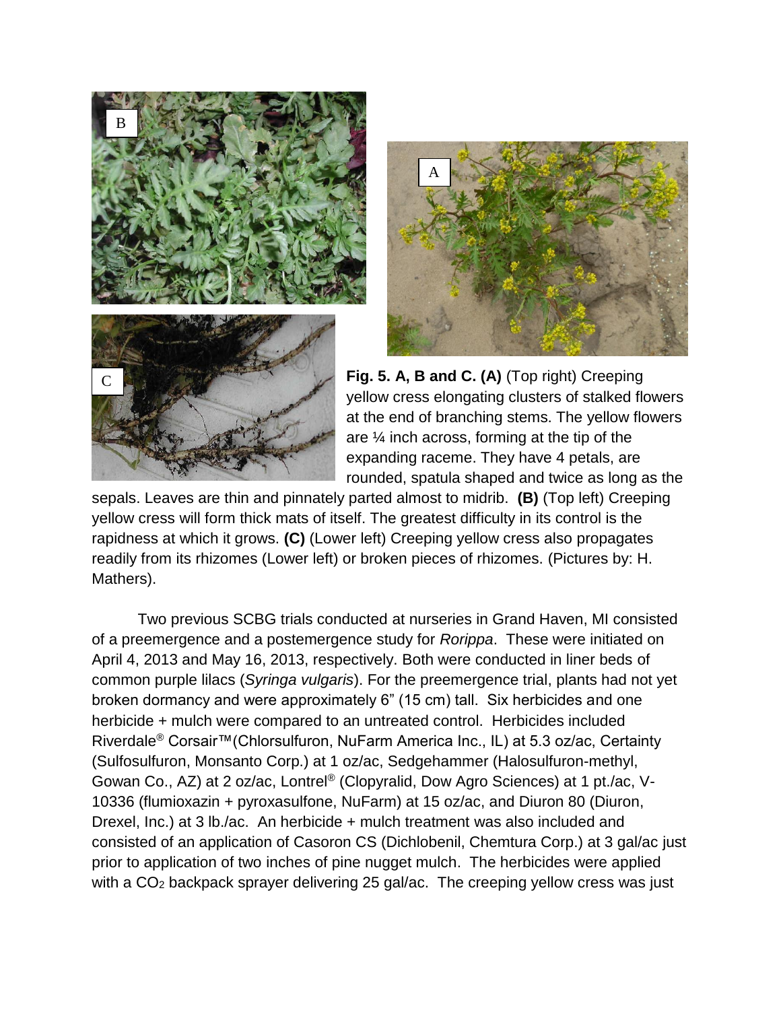



**Fig. 5. A, B and C. (A)** (Top right) Creeping yellow cress elongating clusters of stalked flowers at the end of branching stems. The yellow flowers are ¼ inch across, forming at the tip of the expanding raceme. They have 4 petals, are rounded, spatula shaped and twice as long as the

sepals. Leaves are thin and pinnately parted almost to midrib. **(B)** (Top left) Creeping yellow cress will form thick mats of itself. The greatest difficulty in its control is the rapidness at which it grows. **(C)** (Lower left) Creeping yellow cress also propagates readily from its rhizomes (Lower left) or broken pieces of rhizomes. (Pictures by: H. Mathers).

Two previous SCBG trials conducted at nurseries in Grand Haven, MI consisted of a preemergence and a postemergence study for *Rorippa*. These were initiated on April 4, 2013 and May 16, 2013, respectively. Both were conducted in liner beds of common purple lilacs (*Syringa vulgaris*). For the preemergence trial, plants had not yet broken dormancy and were approximately 6" (15 cm) tall. Six herbicides and one herbicide + mulch were compared to an untreated control. Herbicides included Riverdale® Corsair™(Chlorsulfuron, NuFarm America Inc., IL) at 5.3 oz/ac, Certainty (Sulfosulfuron, Monsanto Corp.) at 1 oz/ac, Sedgehammer (Halosulfuron-methyl, Gowan Co., AZ) at 2 oz/ac, Lontrel® (Clopyralid, Dow Agro Sciences) at 1 pt./ac, V-10336 (flumioxazin + pyroxasulfone, NuFarm) at 15 oz/ac, and Diuron 80 (Diuron, Drexel, Inc.) at 3 lb./ac. An herbicide + mulch treatment was also included and consisted of an application of Casoron CS (Dichlobenil, Chemtura Corp.) at 3 gal/ac just prior to application of two inches of pine nugget mulch. The herbicides were applied with a CO<sub>2</sub> backpack sprayer delivering 25 gal/ac. The creeping yellow cress was just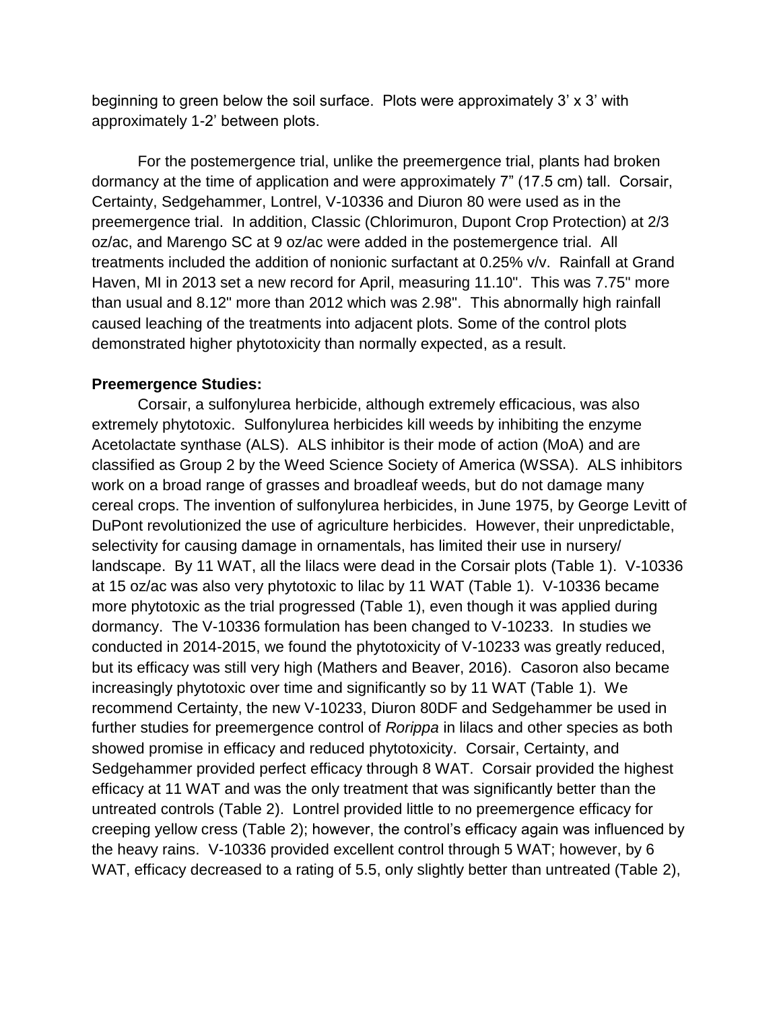beginning to green below the soil surface. Plots were approximately 3' x 3' with approximately 1-2' between plots.

For the postemergence trial, unlike the preemergence trial, plants had broken dormancy at the time of application and were approximately 7" (17.5 cm) tall. Corsair, Certainty, Sedgehammer, Lontrel, V-10336 and Diuron 80 were used as in the preemergence trial. In addition, Classic (Chlorimuron, Dupont Crop Protection) at 2/3 oz/ac, and Marengo SC at 9 oz/ac were added in the postemergence trial. All treatments included the addition of nonionic surfactant at 0.25% v/v. Rainfall at Grand Haven, MI in 2013 set a new record for April, measuring 11.10". This was 7.75" more than usual and 8.12" more than 2012 which was 2.98". This abnormally high rainfall caused leaching of the treatments into adjacent plots. Some of the control plots demonstrated higher phytotoxicity than normally expected, as a result.

#### **Preemergence Studies:**

Corsair, a sulfonylurea herbicide, although extremely efficacious, was also extremely phytotoxic. Sulfonylurea herbicides kill weeds by inhibiting the enzyme Acetolactate synthase (ALS). ALS inhibitor is their mode of action (MoA) and are classified as Group 2 by the Weed Science Society of America (WSSA). ALS inhibitors work on a broad range of grasses and broadleaf weeds, but do not damage many cereal crops. The invention of sulfonylurea herbicides, in June 1975, by George Levitt of DuPont revolutionized the use of agriculture herbicides. However, their unpredictable, selectivity for causing damage in ornamentals, has limited their use in nursery/ landscape. By 11 WAT, all the lilacs were dead in the Corsair plots (Table 1). V-10336 at 15 oz/ac was also very phytotoxic to lilac by 11 WAT (Table 1). V-10336 became more phytotoxic as the trial progressed (Table 1), even though it was applied during dormancy. The V-10336 formulation has been changed to V-10233. In studies we conducted in 2014-2015, we found the phytotoxicity of V-10233 was greatly reduced, but its efficacy was still very high (Mathers and Beaver, 2016). Casoron also became increasingly phytotoxic over time and significantly so by 11 WAT (Table 1). We recommend Certainty, the new V-10233, Diuron 80DF and Sedgehammer be used in further studies for preemergence control of *Rorippa* in lilacs and other species as both showed promise in efficacy and reduced phytotoxicity. Corsair, Certainty, and Sedgehammer provided perfect efficacy through 8 WAT. Corsair provided the highest efficacy at 11 WAT and was the only treatment that was significantly better than the untreated controls (Table 2). Lontrel provided little to no preemergence efficacy for creeping yellow cress (Table 2); however, the control's efficacy again was influenced by the heavy rains. V-10336 provided excellent control through 5 WAT; however, by 6 WAT, efficacy decreased to a rating of 5.5, only slightly better than untreated (Table 2),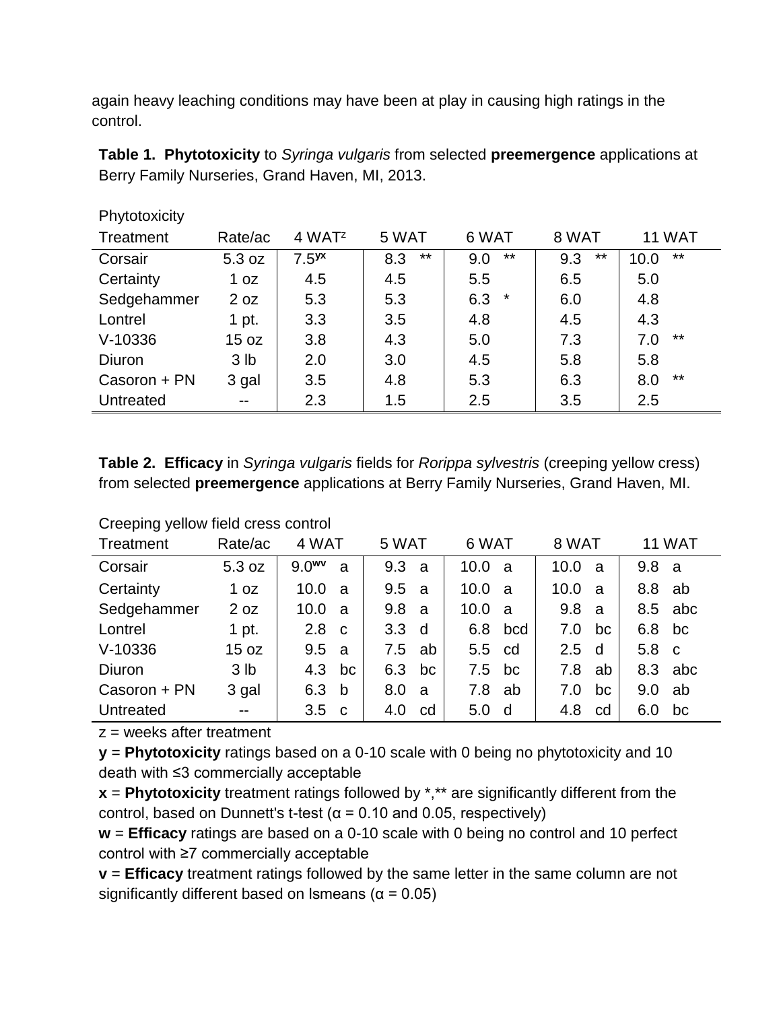again heavy leaching conditions may have been at play in causing high ratings in the control.

**Table 1. Phytotoxicity** to *Syringa vulgaris* from selected **preemergence** applications at Berry Family Nurseries, Grand Haven, MI, 2013.

| .            |                 |                      |              |                |              |               |
|--------------|-----------------|----------------------|--------------|----------------|--------------|---------------|
| Treatment    | Rate/ac         | $4$ WAT <sup>z</sup> | 5 WAT        | 6 WAT          | 8 WAT        | 11 WAT        |
| Corsair      | 5.3 oz          | 7.5 <sup>yx</sup>    | $***$<br>8.3 | $***$<br>9.0   | $***$<br>9.3 | $***$<br>10.0 |
| Certainty    | 1 oz            | 4.5                  | 4.5          | 5.5            | 6.5          | 5.0           |
| Sedgehammer  | 2 oz            | 5.3                  | 5.3          | $\star$<br>6.3 | 6.0          | 4.8           |
| Lontrel      | 1 pt.           | 3.3                  | 3.5          | 4.8            | 4.5          | 4.3           |
| $V-10336$    | 15 oz           | 3.8                  | 4.3          | 5.0            | 7.3          | $***$<br>7.0  |
| Diuron       | 3 <sub>lb</sub> | 2.0                  | 3.0          | 4.5            | 5.8          | 5.8           |
| Casoron + PN | 3 gal           | 3.5                  | 4.8          | 5.3            | 6.3          | $***$<br>8.0  |
| Untreated    | $- -$           | 2.3                  | 1.5          | 2.5            | 3.5          | 2.5           |

**Table 2. Efficacy** in *Syringa vulgaris* fields for *Rorippa sylvestris* (creeping yellow cress) from selected **preemergence** applications at Berry Family Nurseries, Grand Haven, MI.

| Treatment    | Rate/ac         | 4 WAT                  | 5 WAT            |    | 6 WAT            |              | 8 WAT |     |                  | <b>11 WAT</b> |
|--------------|-----------------|------------------------|------------------|----|------------------|--------------|-------|-----|------------------|---------------|
| Corsair      | 5.3 oz          | 9.0 <sup>wv</sup><br>a | 9.3 <sub>a</sub> |    | 10.0 a           |              | 10.0  | -a  | 9.8 <sub>a</sub> |               |
| Certainty    | 1 oz            | 10.0<br>a              | 9.5 <sub>a</sub> |    | 10.0             | - a          | 10.0  | a   | 8.8              | ab            |
| Sedgehammer  | 2 oz            | 10.0<br>a              | 9.8 <sub>a</sub> |    | 10.0             | <sub>a</sub> | 9.8   | a   |                  | 8.5 abc       |
| Lontrel      | 1 pt.           | 2.8<br>C               | 3.3 <sub>d</sub> |    |                  | 6.8 bcd      | 7.0   | bc  | 6.8              | bc            |
| $V-10336$    | 15 oz           | 9.5<br>a               | 7.5              | ab | 5.5 cd           |              | 2.5   | ∣ d | 5.8 c            |               |
| Diuron       | 3 <sub>lb</sub> | 4.3<br>bc              | 6.3              | bc | 7.5              | bc           | 7.8   | ab  |                  | 8.3 abc       |
| Casoron + PN | 3 gal           | 6.3<br>b               | 8.0              | a  | 7.8              | ab           | 7.0   | bc  | 9.0              | ab            |
| Untreated    | $- -$           | 3.5<br>C <sub>c</sub>  | 4.0              | cd | 5.0 <sub>d</sub> |              | 4.8   | cd  | 6.0              | bc            |

Creeping yellow field cress control

**Phytotoxicity** 

 $z =$  weeks after treatment

**y** = **Phytotoxicity** ratings based on a 0-10 scale with 0 being no phytotoxicity and 10 death with ≤3 commercially acceptable

**x** = **Phytotoxicity** treatment ratings followed by \*,\*\* are significantly different from the control, based on Dunnett's t-test ( $\alpha$  = 0.10 and 0.05, respectively)

**w** = **Efficacy** ratings are based on a 0-10 scale with 0 being no control and 10 perfect control with ≥7 commercially acceptable

**v** = **Efficacy** treatment ratings followed by the same letter in the same column are not significantly different based on Ismeans ( $\alpha$  = 0.05)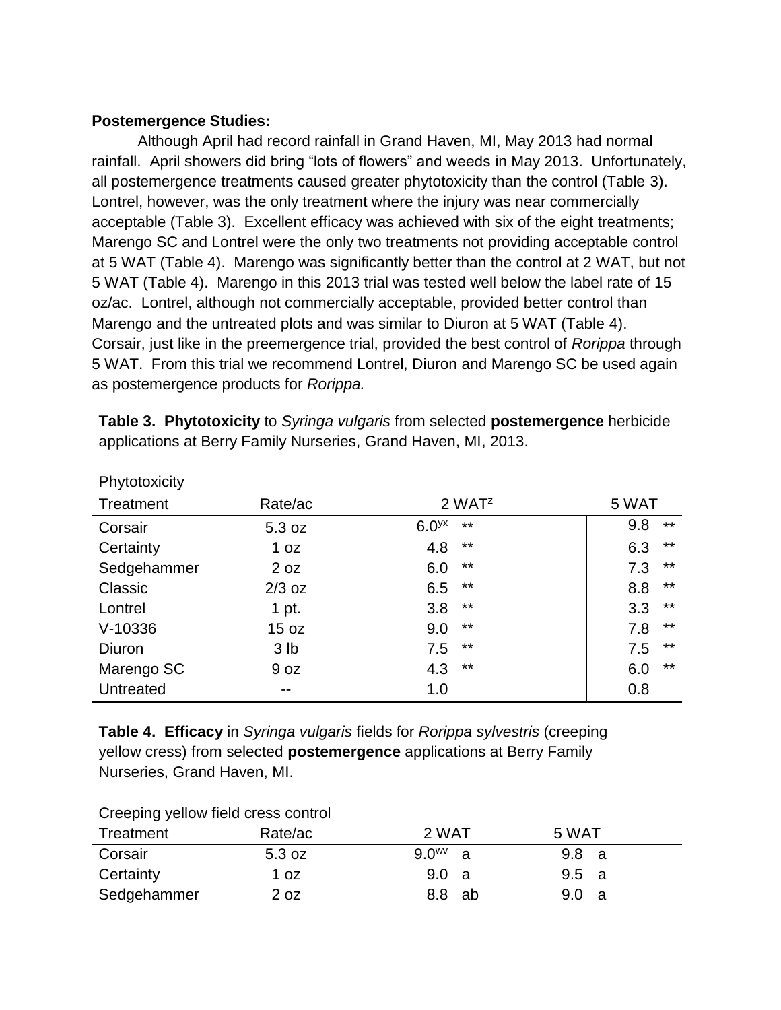## **Postemergence Studies:**

Although April had record rainfall in Grand Haven, MI, May 2013 had normal rainfall. April showers did bring "lots of flowers" and weeds in May 2013. Unfortunately, all postemergence treatments caused greater phytotoxicity than the control (Table 3). Lontrel, however, was the only treatment where the injury was near commercially acceptable (Table 3). Excellent efficacy was achieved with six of the eight treatments; Marengo SC and Lontrel were the only two treatments not providing acceptable control at 5 WAT (Table 4). Marengo was significantly better than the control at 2 WAT, but not 5 WAT (Table 4). Marengo in this 2013 trial was tested well below the label rate of 15 oz/ac. Lontrel, although not commercially acceptable, provided better control than Marengo and the untreated plots and was similar to Diuron at 5 WAT (Table 4). Corsair, just like in the preemergence trial, provided the best control of *Rorippa* through 5 WAT. From this trial we recommend Lontrel, Diuron and Marengo SC be used again as postemergence products for *Rorippa.* 

| Phytotoxicity |                 |                            |              |
|---------------|-----------------|----------------------------|--------------|
| Treatment     | Rate/ac         | $2$ WAT <sup>z</sup>       | 5 WAT        |
| Corsair       | 5.3 oz          | 6.0 <sup>yx</sup><br>$***$ | 9.8<br>$***$ |
| Certainty     | 1 oz            | $***$<br>4.8               | $***$<br>6.3 |
| Sedgehammer   | 2 oz            | $***$<br>6.0               | $***$<br>7.3 |
| Classic       | $2/3$ oz        | $***$<br>6.5               | $***$<br>8.8 |
| Lontrel       | 1 pt.           | $***$<br>3.8               | $***$<br>3.3 |
| $V-10336$     | 15 oz           | $***$<br>9.0               | $***$<br>7.8 |
| Diuron        | 3 <sub>lb</sub> | $***$<br>7.5               | $***$<br>7.5 |
| Marengo SC    | 9 oz            | $***$<br>4.3               | $***$<br>6.0 |
| Untreated     | --              | 1.0                        | 0.8          |

**Table 3. Phytotoxicity** to *Syringa vulgaris* from selected **postemergence** herbicide applications at Berry Family Nurseries, Grand Haven, MI, 2013.

**Table 4. Efficacy** in *Syringa vulgaris* fields for *Rorippa sylvestris* (creeping yellow cress) from selected **postemergence** applications at Berry Family Nurseries, Grand Haven, MI.

| Creeping yellow lield cress control |         |             |                         |  |  |  |
|-------------------------------------|---------|-------------|-------------------------|--|--|--|
| Treatment                           | Rate/ac | 2 WAT       | 5 WAT                   |  |  |  |
| Corsair                             | 5.3 oz  | $9.0^{w}$ a | 9.8 a                   |  |  |  |
| Certainty                           | 1 oz    | 9.0 a       | 9.5 a                   |  |  |  |
| Sedgehammer                         | 2 oz    | 8.8 ab      | 9.0 <sub>1</sub><br>- a |  |  |  |

#### Creeping vellow field cress control